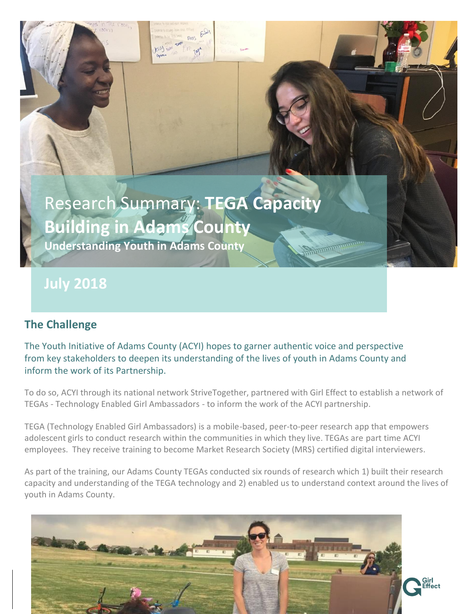# Research Summary: **TEGA Capacity Building in Adams County Understanding Youth in Adams County**

**July 2018**

# **The Challenge**

The Youth Initiative of Adams County (ACYI) hopes to garner authentic voice and perspective from key stakeholders to deepen its understanding of the lives of youth in Adams County and inform the work of its Partnership.

To do so, ACYI through its national network StriveTogether, partnered with Girl Effect to establish a network of TEGAs - Technology Enabled Girl Ambassadors - to inform the work of the ACYI partnership.

TEGA (Technology Enabled Girl Ambassadors) is a mobile-based, peer-to-peer research app that empowers adolescent girls to conduct research within the communities in which they live. TEGAs are part time ACYI employees. They receive training to become Market Research Society (MRS) certified digital interviewers.

As part of the training, our Adams County TEGAs conducted six rounds of research which 1) built their research capacity and understanding of the TEGA technology and 2) enabled us to understand context around the lives of youth in Adams County.

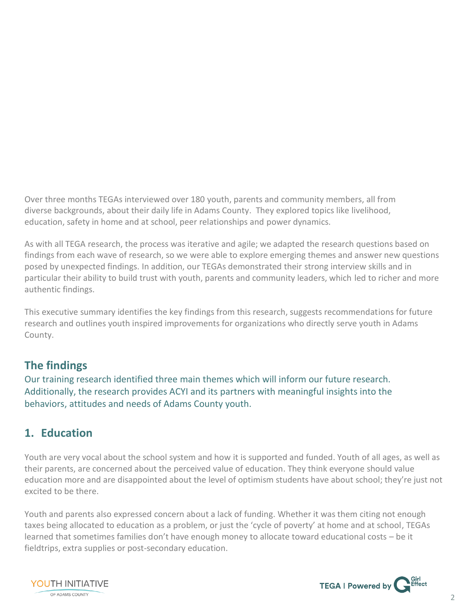Over three months TEGAs interviewed over 180 youth, parents and community members, all from diverse backgrounds, about their daily life in Adams County. They explored topics like livelihood, education, safety in home and at school, peer relationships and power dynamics.

As with all TEGA research, the process was iterative and agile; we adapted the research questions based on findings from each wave of research, so we were able to explore emerging themes and answer new questions posed by unexpected findings. In addition, our TEGAs demonstrated their strong interview skills and in particular their ability to build trust with youth, parents and community leaders, which led to richer and more authentic findings.

This executive summary identifies the key findings from this research, suggests recommendations for future research and outlines youth inspired improvements for organizations who directly serve youth in Adams County.

### **The findings**

Our training research identified three main themes which will inform our future research. Additionally, the research provides ACYI and its partners with meaningful insights into the behaviors, attitudes and needs of Adams County youth.

### **1. Education**

Youth are very vocal about the school system and how it is supported and funded. Youth of all ages, as well as their parents, are concerned about the perceived value of education. They think everyone should value education more and are disappointed about the level of optimism students have about school; they're just not excited to be there.

Youth and parents also expressed concern about a lack of funding. Whether it was them citing not enough taxes being allocated to education as a problem, or just the 'cycle of poverty' at home and at school, TEGAs learned that sometimes families don't have enough money to allocate toward educational costs – be it fieldtrips, extra supplies or post-secondary education.



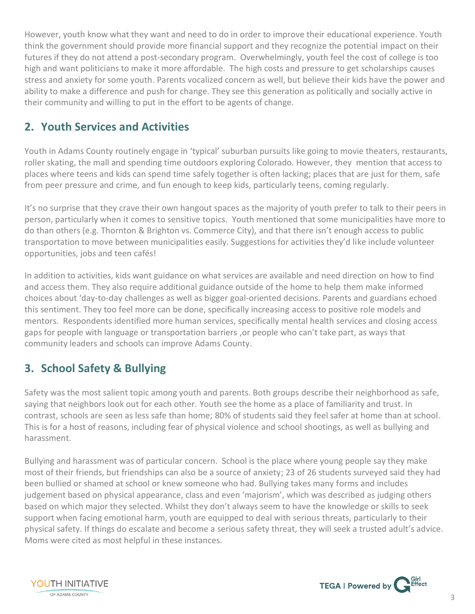However, youth know what they want and need to do in order to improve their educational experience. Youth think the government should provide more financial support and they recognize the potential impact on their futures if they do not attend a post-secondary program. Overwhelmingly, youth feel the cost of college is too high and want politicians to make it more affordable. The high costs and pressure to get scholarships causes stress and anxiety for some youth. Parents vocalized concern as well, but believe their kids have the power and ability to make a difference and push for change. They see this generation as politically and socially active in their community and willing to put in the effort to be agents of change.

## **2. Youth Services and Activities**

Youth in Adams County routinely engage in 'typical' suburban pursuits like going to movie theaters, restaurants, roller skating, the mall and spending time outdoors exploring Colorado. However, they mention that access to places where teens and kids can spend time safely together is often lacking; places that are just for them, safe from peer pressure and crime, and fun enough to keep kids, particularly teens, coming regularly.

It's no surprise that they crave their own hangout spaces as the majority of youth prefer to talk to their peers in person, particularly when it comes to sensitive topics. Youth mentioned that some municipalities have more to do than others (e.g. Thornton & Brighton vs. Commerce City), and that there isn't enough access to public transportation to move between municipalities easily. Suggestions for activities they'd like include volunteer opportunities, jobs and teen cafés!

In addition to activities, kids want guidance on what services are available and need direction on how to find and access them. They also require additional guidance outside of the home to help them make informed choices about 'day-to-day challenges as well as bigger goal-oriented decisions. Parents and guardians echoed this sentiment. They too feel more can be done, specifically increasing access to positive role models and mentors. Respondents identified more human services, specifically mental health services and closing access gaps for people with language or transportation barriers ,or people who can't take part, as ways that community leaders and schools can improve Adams County.

### **3. School Safety & Bullying**

Safety was the most salient topic among youth and parents. Both groups describe their neighborhood as safe, saying that neighbors look out for each other. Youth see the home as a place of familiarity and trust. In contrast, schools are seen as less safe than home; 80% of students said they feel safer at home than at school. This is for a host of reasons, including fear of physical violence and school shootings, as well as bullying and harassment.

Bullying and harassment was of particular concern. School is the place where young people say they make most of their friends, but friendships can also be a source of anxiety; 23 of 26 students surveyed said they had been bullied or shamed at school or knew someone who had. Bullying takes many forms and includes judgement based on physical appearance, class and even 'majorism', which was described as judging others based on which major they selected. Whilst they don't always seem to have the knowledge or skills to seek support when facing emotional harm, youth are equipped to deal with serious threats, particularly to their physical safety. If things do escalate and become a serious safety threat, they will seek a trusted adult's advice. Moms were cited as most helpful in these instances.



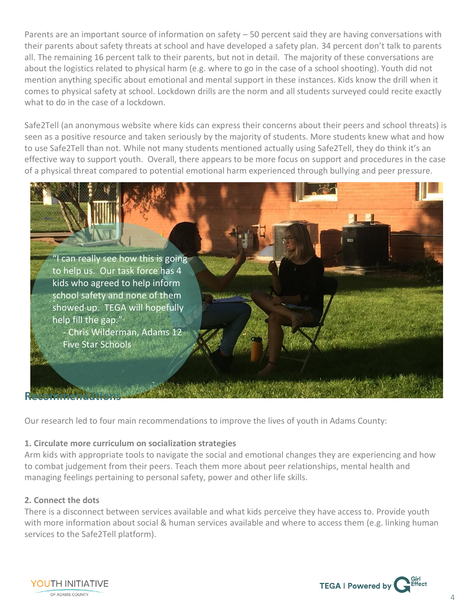Parents are an important source of information on safety – 50 percent said they are having conversations with their parents about safety threats at school and have developed a safety plan. 34 percent don't talk to parents all. The remaining 16 percent talk to their parents, but not in detail. The majority of these conversations are about the logistics related to physical harm (e.g. where to go in the case of a school shooting). Youth did not mention anything specific about emotional and mental support in these instances. Kids know the drill when it comes to physical safety at school. Lockdown drills are the norm and all students surveyed could recite exactly what to do in the case of a lockdown.

Safe2Tell (an anonymous website where kids can express their concerns about their peers and school threats) is seen as a positive resource and taken seriously by the majority of students. More students knew what and how to use Safe2Tell than not. While not many students mentioned actually using Safe2Tell, they do think it's an effective way to support youth. Overall, there appears to be more focus on support and procedures in the case of a physical threat compared to potential emotional harm experienced through bullying and peer pressure.



Our research led to four main recommendations to improve the lives of youth in Adams County:

#### **1. Circulate more curriculum on socialization strategies**

Arm kids with appropriate tools to navigate the social and emotional changes they are experiencing and how to combat judgement from their peers. Teach them more about peer relationships, mental health and managing feelings pertaining to personal safety, power and other life skills.

#### **2. Connect the dots**

There is a disconnect between services available and what kids perceive they have access to. Provide youth with more information about social & human services available and where to access them (e.g. linking human services to the Safe2Tell platform).